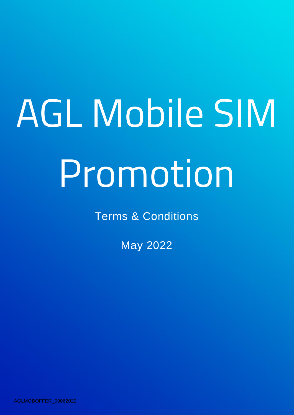## AGL Mobile SIM Promotion

Terms & Conditions

May 2022

AGLMOBOFFER\_09062022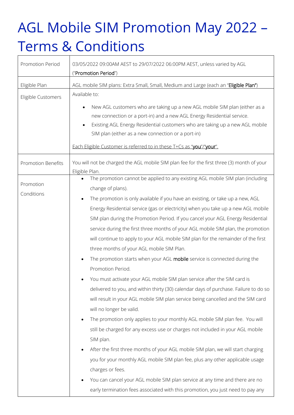## AGL Mobile SIM Promotion May 2022 – Terms & Conditions

| Promotion Period          | 03/05/2022 09:00AM AEST to 29/07/2022 06:00PM AEST, unless varied by AGL<br>("Promotion Period")                                                                                                                                                                                                                                                                                                                                                                                                                                                                                                                                                                                                                                                             |
|---------------------------|--------------------------------------------------------------------------------------------------------------------------------------------------------------------------------------------------------------------------------------------------------------------------------------------------------------------------------------------------------------------------------------------------------------------------------------------------------------------------------------------------------------------------------------------------------------------------------------------------------------------------------------------------------------------------------------------------------------------------------------------------------------|
| Eligible Plan             | AGL mobile SIM plans: Extra Small, Small, Medium and Large (each an "Eligible Plan")                                                                                                                                                                                                                                                                                                                                                                                                                                                                                                                                                                                                                                                                         |
| Eligible Customers        | Available to:                                                                                                                                                                                                                                                                                                                                                                                                                                                                                                                                                                                                                                                                                                                                                |
|                           | New AGL customers who are taking up a new AGL mobile SIM plan (either as a<br>new connection or a port-in) and a new AGL Energy Residential service.<br>Existing AGL Energy Residential customers who are taking up a new AGL mobile<br>SIM plan (either as a new connection or a port-in)<br>Each Eligible Customer is referred to in these T+Cs as "you"/"your".                                                                                                                                                                                                                                                                                                                                                                                           |
| <b>Promotion Benefits</b> | You will not be charged the AGL mobile SIM plan fee for the first three (3) month of your<br>Eligible Plan.                                                                                                                                                                                                                                                                                                                                                                                                                                                                                                                                                                                                                                                  |
| Promotion<br>Conditions   | The promotion cannot be applied to any existing AGL mobile SIM plan (including<br>change of plans).                                                                                                                                                                                                                                                                                                                                                                                                                                                                                                                                                                                                                                                          |
|                           | The promotion is only available if you have an existing, or take up a new, AGL<br>Energy Residential service (gas or electricity) when you take up a new AGL mobile<br>SIM plan during the Promotion Period. If you cancel your AGL Energy Residential<br>service during the first three months of your AGL mobile SIM plan, the promotion<br>will continue to apply to your AGL mobile SIM plan for the remainder of the first<br>three months of your AGL mobile SIM Plan.<br>The promotion starts when your AGL mobile service is connected during the<br>Promotion Period.<br>You must activate your AGL mobile SIM plan service after the SIM card is                                                                                                   |
|                           | delivered to you, and within thirty (30) calendar days of purchase. Failure to do so<br>will result in your AGL mobile SIM plan service being cancelled and the SIM card<br>will no longer be valid.<br>The promotion only applies to your monthly AGL mobile SIM plan fee. You will<br>still be charged for any excess use or charges not included in your AGL mobile<br>SIM plan.<br>After the first three months of your AGL mobile SIM plan, we will start charging<br>$\bullet$<br>you for your monthly AGL mobile SIM plan fee, plus any other applicable usage<br>charges or fees.<br>You can cancel your AGL mobile SIM plan service at any time and there are no<br>early termination fees associated with this promotion, you just need to pay any |